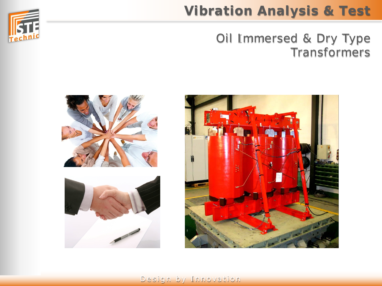

# **Vibration Analysis & Test**

## Oil Immersed & Dry Type Transformers





#### Design by Innovation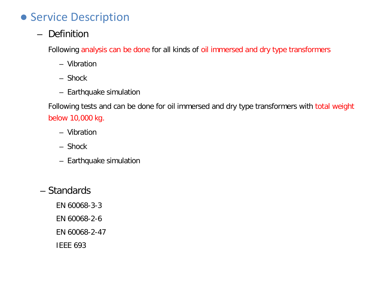## ● Service Description

– Definition

Following analysis can be done for all kinds of oil immersed and dry type transformers

- Vibration
- Shock
- Earthquake simulation

Following tests and can be done for oil immersed and dry type transformers with total weight below 10,000 kg.

- Vibration
- Shock
- Earthquake simulation
- Standards
	- EN 60068-3-3
	- EN 60068-2-6
	- EN 60068-2-47
	- IEEE 693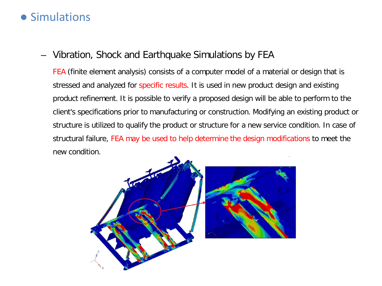### ● Simulations

#### – Vibration, Shock and Earthquake Simulations by FEA

FEA (finite element analysis) consists of a computer model of a material or design that is stressed and analyzed for specific results. It is used in new product design and existing product refinement. It is possible to verify a proposed design will be able to perform to the client's specifications prior to manufacturing or construction. Modifying an existing product or structure is utilized to qualify the product or structure for a new service condition. In case of structural failure, FEA may be used to help determine the design modifications to meet the new condition.